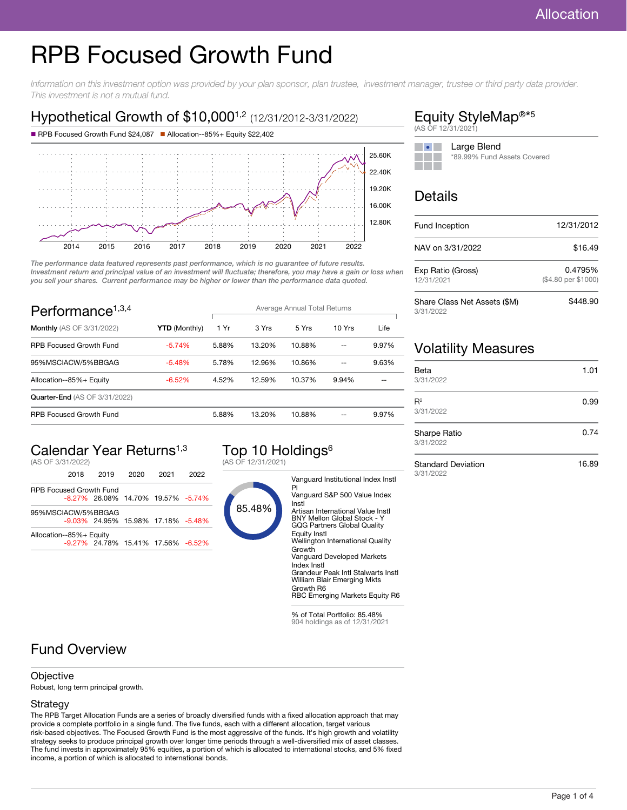# RPB Focused Growth Fund

Information on this investment option was provided by your plan sponsor, plan trustee, investment manager, trustee or third party data provider. This investment is not a mutual fund.

## Hypothetical Growth of \$10,000<sup>1,2</sup> (12/31/2012-3/31/2022)



The performance data featured represents past performance, which is no guarantee of future results. Investment return and principal value of an investment will fluctuate; therefore, you may have a gain or loss when you sell your shares. Current performance may be higher or lower than the performance data quoted.

| Performance <sup><math>1,3,4</math></sup> |                      | Average Annual Total Returns |        |        |        |       |
|-------------------------------------------|----------------------|------------------------------|--------|--------|--------|-------|
| <b>Monthly</b> (AS OF 3/31/2022)          | <b>YTD</b> (Monthly) | 1 Yr                         | 3 Yrs  | 5 Yrs  | 10 Yrs | Life  |
| <b>RPB Focused Growth Fund</b>            | $-5.74%$             | 5.88%                        | 13.20% | 10.88% |        | 9.97% |
| 95%MSCIACW/5%BBGAG                        | $-5.48%$             | 5.78%                        | 12.96% | 10.86% | --     | 9.63% |
| Allocation--85%+ Equity                   | $-6.52\%$            | 4.52%                        | 12.59% | 10.37% | 9.94%  |       |
| <b>Quarter-End</b> (AS OF 3/31/2022)      |                      |                              |        |        |        |       |
| <b>RPB Focused Growth Fund</b>            |                      | 5.88%                        | 13.20% | 10.88% | --     | 9.97% |

## Calendar Year Returns1,3

(AS OF 3/31/2022)

|                                | 2018 | 2019                                     | 2020 | 2021 | 2022 |
|--------------------------------|------|------------------------------------------|------|------|------|
| <b>RPB Focused Growth Fund</b> |      |                                          |      |      |      |
|                                |      | $-8.27\%$ 26.08% 14.70% 19.57% $-5.74\%$ |      |      |      |
| 95%MSCIACW/5%BBGAG             |      |                                          |      |      |      |
|                                |      | -9.03% 24.95% 15.98% 17.18% -5.48%       |      |      |      |
| Allocation--85%+ Equity        |      |                                          |      |      |      |
|                                |      | -9.27% 24.78% 15.41% 17.56% -6.52%       |      |      |      |
|                                |      |                                          |      |      |      |

## Top 10 Holdings<sup>6</sup>

(AS OF 12/31/2021)



#### Vanguard Institutional Index Instl Pl Vanguard S&P 500 Value Index Instl Artisan International Value Instl BNY Mellon Global Stock - Y GQG Partners Global Quality Equity Instl Wellington International Quality Growth Vanguard Developed Markets

Index Instl Grandeur Peak Intl Stalwarts Instl William Blair Emerging Mkts Growth R6

RBC Emerging Markets Equity R6

% of Total Portfolio: 85.48% 904 holdings as of 12/31/2021

#### Equity StyleMap<sup>®\*5</sup> (AS OF 12/31/2021)

| Large Blend                 |
|-----------------------------|
| *89.99% Fund Assets Covered |
|                             |

## Details

| Fund Inception                            | 12/31/2012                     |  |
|-------------------------------------------|--------------------------------|--|
| NAV on 3/31/2022                          | \$16.49                        |  |
| Exp Ratio (Gross)<br>12/31/2021           | 0.4795%<br>(\$4.80 per \$1000) |  |
| Share Class Net Assets (\$M)<br>3/31/2022 | \$448.90                       |  |

## Volatility Measures

| Beta<br>3/31/2022         | 1.01 |
|---------------------------|------|
| $R^2$<br>3/31/2022        | 0.99 |
| Sharpe Ratio<br>3/31/2022 | 0.74 |

Standard Deviation 3/31/2022

16.89

## Fund Overview

#### **Objective**

Robust, long term principal growth.

#### Strategy

The RPB Target Allocation Funds are a series of broadly diversified funds with a fixed allocation approach that may provide a complete portfolio in a single fund. The five funds, each with a different allocation, target various risk-based objectives. The Focused Growth Fund is the most aggressive of the funds. It's high growth and volatility strategy seeks to produce principal growth over longer time periods through a well-diversified mix of asset classes. The fund invests in approximately 95% equities, a portion of which is allocated to international stocks, and 5% fixed income, a portion of which is allocated to international bonds.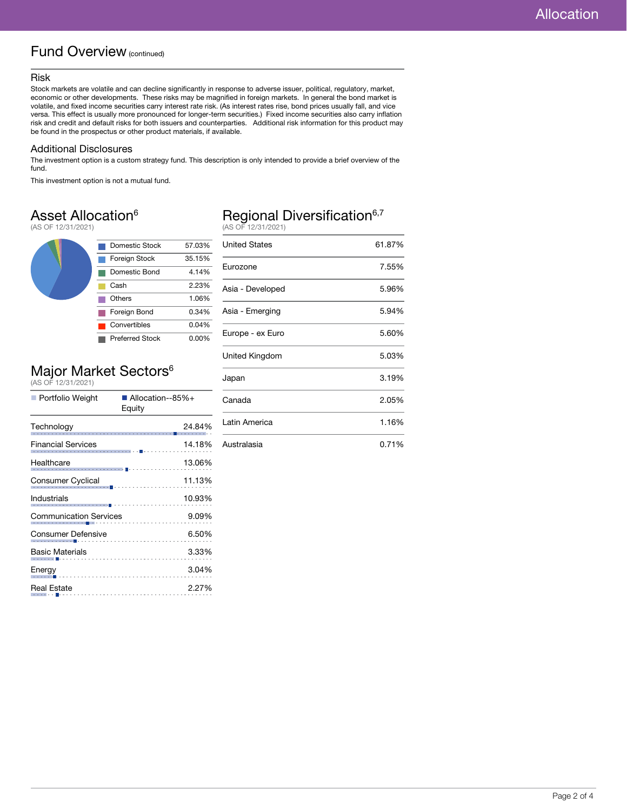#### Fund Overview (continued)

#### Risk

Stock markets are volatile and can decline significantly in response to adverse issuer, political, regulatory, market, economic or other developments. These risks may be magnified in foreign markets. In general the bond market is volatile, and fixed income securities carry interest rate risk. (As interest rates rise, bond prices usually fall, and vice versa. This effect is usually more pronounced for longer-term securities.) Fixed income securities also carry inflation risk and credit and default risks for both issuers and counterparties. Additional risk information for this product may be found in the prospectus or other product materials, if available.

#### Additional Disclosures

The investment option is a custom strategy fund. This description is only intended to provide a brief overview of the fund.

This investment option is not a mutual fund.

#### Asset Allocation<sup>6</sup>

(AS OF 12/31/2021)



## Major Market Sectors<sup>6</sup><br>(AS OF 12/31/2021)

| ■ Portfolio Weight                                       | ■ Allocation--85%+<br>Equity |  |
|----------------------------------------------------------|------------------------------|--|
| Technology                                               | 24.84%<br>.                  |  |
| <b>Financial Services</b>                                | 14.18%                       |  |
| Healthcare<br>.                                          | 13.06%                       |  |
| Consumer Cyclical                                        | 11.13%                       |  |
| <b>Industrials</b>                                       | 10.93%                       |  |
| <b>Communication Services</b>                            | 9.09%                        |  |
| Consumer Defensive<br>. <b>.</b> .                       | 6.50%                        |  |
| <b>Basic Materials</b><br><b>Service Contractor</b>      | 3.33%                        |  |
| Energy                                                   | 3.04%                        |  |
| Real Estate<br>$\alpha$ - $\alpha$ - $\alpha$ - $\alpha$ | 2.27%                        |  |
|                                                          |                              |  |

## Regional Diversification<sup>6,7</sup><br>(AS OF 12/31/2021)

| 17 10 12 12 12 12 12 12 12 12 12 |        |
|----------------------------------|--------|
| United States                    | 61.87% |
| Eurozone                         | 7.55%  |
| Asia - Developed                 | 5.96%  |
| Asia - Emerging                  | 5.94%  |
| Europe - ex Euro                 | 5.60%  |
| United Kingdom                   | 5.03%  |
| Japan                            | 3.19%  |
| Canada                           | 2.05%  |
| Latin America                    | 1.16%  |
| Australasia                      | 0.71%  |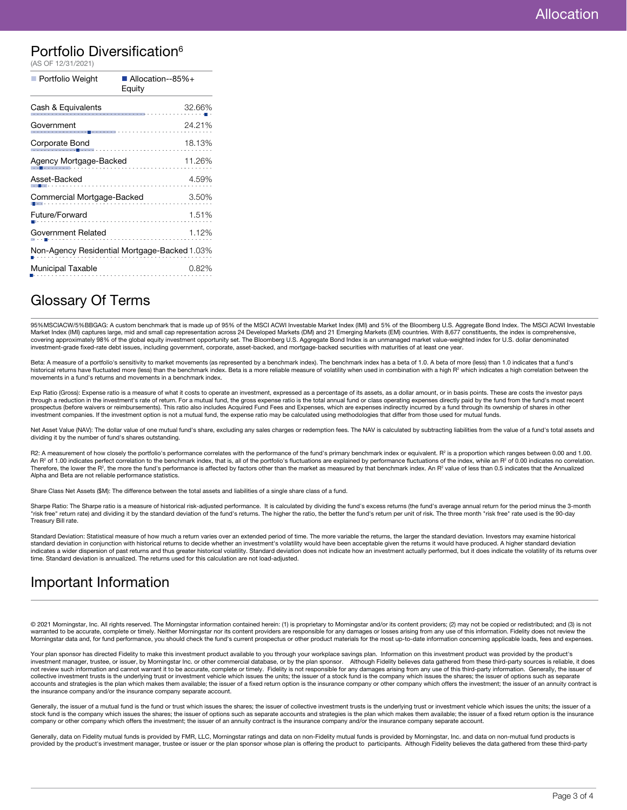#### Portfolio Diversification<sup>6</sup>

| (AS OF 12/31/2021)         |                                              |
|----------------------------|----------------------------------------------|
| Portfolio Weight           | Allocation--85%+<br>Equity                   |
| Cash & Equivalents         | 32.66%                                       |
| Government<br>. <b>.</b>   | 24.21%<br>.                                  |
| Corporate Bond             | 18.13%                                       |
| Agency Mortgage-Backed     | 11.26%                                       |
| Asset-Backed               | 4.59%                                        |
| Commercial Mortgage-Backed | 3.50%                                        |
| Future/Forward             | 1.51%                                        |
| Government Related         | 1.12%                                        |
|                            | Non-Agency Residential Mortgage-Backed 1.03% |
| <b>Municipal Taxable</b>   | 0.82%                                        |
|                            |                                              |

### Glossary Of Terms

95%MSCIACW/5%BBGAG: A custom benchmark that is made up of 95% of the MSCI ACWI Investable Market Index (IMI) and 5% of the Bloomberg U.S. Aggregate Bond Index. The MSCI ACWI Investable<br>Market Index (IMI) captures large, mi covering approximately 98% of the global equity investment opportunity set. The Bloomberg U.S. Aggregate Bond Index is an unmanaged market value-weighted index for U.S. dollar denominated investment-grade fixed-rate debt issues, including government, corporate, asset-backed, and mortgage-backed securities with maturities of at least one year.

Beta: A measure of a portfolio's sensitivity to market movements (as represented by a benchmark index). The benchmark index has a beta of 1.0. A beta of more (less) than 1.0 indicates that a fund's historical returns have fluctuated more (less) than the benchmark index. Beta is a more reliable measure of volatility when used in combination with a high R<sup>2</sup> which indicates a high correlation between the movements in a fund's returns and movements in a benchmark index.

Exp Ratio (Gross): Expense ratio is a measure of what it costs to operate an investment, expressed as a percentage of its assets, as a dollar amount, or in basis points. These are costs the investor pays through a reduction in the investment's rate of return. For a mutual fund, the gross expense ratio is the total annual fund or class operating expenses directly paid by the fund from the fund's most recent prospectus (before waivers or reimbursements). This ratio also includes Acquired Fund Fees and Expenses, which are expenses indirectly incurred by a fund through its ownership of shares in other investment companies. If the investment option is not a mutual fund, the expense ratio may be calculated using methodologies that differ from those used for mutual funds.

Net Asset Value (NAV): The dollar value of one mutual fund's share, excluding any sales charges or redemption fees. The NAV is calculated by subtracting liabilities from the value of a fund's total assets and dividing it by the number of fund's shares outstanding.

R2: A measurement of how closely the portfolio's performance correlates with the performance of the fund's primary benchmark index or equivalent. R<sup>2</sup> is a proportion which ranges between 0.00 and 1.00. An R<sup>2</sup> of 1.00 indicates perfect correlation to the benchmark index, that is, all of the portfolio's fluctuations are explained by performance fluctuations of the index, while an R<sup>2</sup> of 0.00 indicates no correlation. Therefore, the lower the R<sup>2</sup>, the more the fund's performance is affected by factors other than the market as measured by that benchmark index. An R<sup>2</sup> value of less than 0.5 indicates that the Annualized Alpha and Beta are not reliable performance statistics.

Share Class Net Assets (\$M): The difference between the total assets and liabilities of a single share class of a fund.

Sharpe Ratio: The Sharpe ratio is a measure of historical risk-adjusted performance. It is calculated by dividing the fund's excess returns (the fund's average annual return for the period minus the 3-month<br>"risk free" ret Treasury Bill rate.

Standard Deviation: Statistical measure of how much a return varies over an extended period of time. The more variable the returns, the larger the standard deviation. Investors may examine historical standard deviation in conjunction with historical returns to decide whether an investment's volatility would have been acceptable given the returns it would have produced. A higher standard deviation indicates a wider dispersion of past returns and thus greater historical volatility. Standard deviation does not indicate how an investment actually performed, but it does indicate the volatility of its returns over time. Standard deviation is annualized. The returns used for this calculation are not load-adjusted.

### Important Information

© 2021 Morningstar, Inc. All rights reserved. The Morningstar information contained herein: (1) is proprietary to Morningstar and/or its content providers; (2) may not be copied or redistributed; and (3) is not warranted to be accurate, complete or timely. Neither Morningstar nor its content providers are responsible for any damages or losses arising from any use of this information. Fidelity does not review the Morningstar data and, for fund performance, you should check the fund's current prospectus or other product materials for the most up-to-date information concerning applicable loads, fees and expenses.

Your plan sponsor has directed Fidelity to make this investment product available to you through your workplace savings plan. Information on this investment product was provided by the product's investment manager, trustee, or issuer, by Morningstar Inc. or other commercial database, or by the plan sponsor. Although Fidelity believes data gathered from these third-party sources is reliable, it does not review such information and cannot warrant it to be accurate, complete or timely. Fidelity is not responsible for any damages arising from any use of this third-party information. Generally, the issuer of collective investment trusts is the underlying trust or investment vehicle which issues the units; the issuer of a stock fund is the company which issues the shares; the issuer of options such as separate<br>accounts and stra the insurance company and/or the insurance company separate account.

Generally, the issuer of a mutual fund is the fund or trust which issues the shares; the issuer of collective investment trusts is the underlying trust or investment vehicle which issues the units; the issuer of a stock fund is the company which issues the shares; the issuer of options such as separate accounts and strategies is the plan which makes them available; the issuer of a fixed return option is the insurance<br>company or othe

Generally, data on Fidelity mutual funds is provided by FMR, LLC, Morningstar ratings and data on non-Fidelity mutual funds is provided by Morningstar, Inc. and data on non-mutual fund products is provided by the product's investment manager, trustee or issuer or the plan sponsor whose plan is offering the product to participants. Although Fidelity believes the data gathered from these third-party